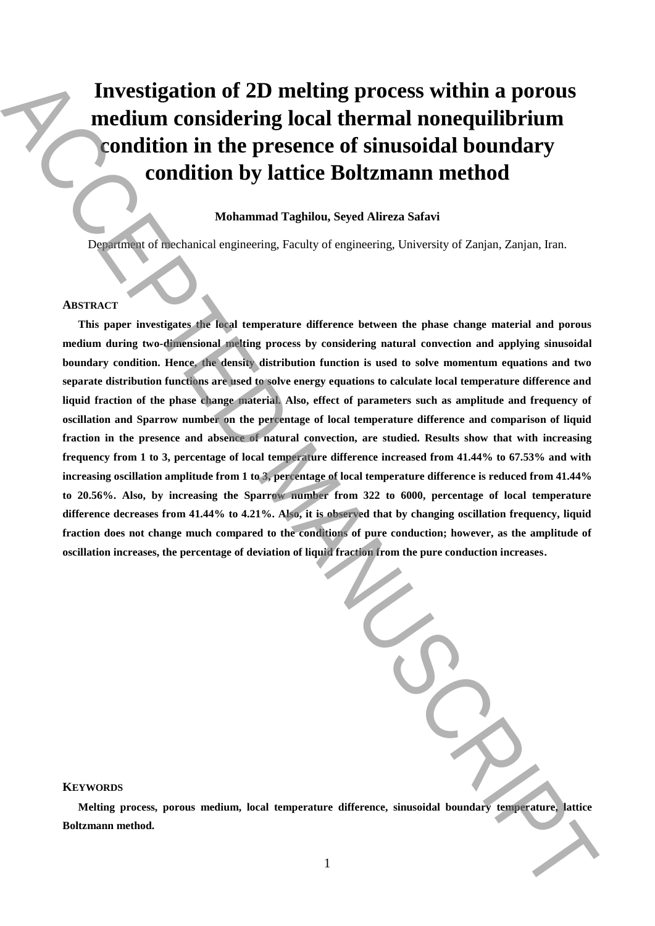# **Investigation of 2D melting process within a porous medium considering local thermal nonequilibrium condition in the presence of sinusoidal boundary condition by lattice Boltzmann method**

# **Mohammad Taghilou, Seyed Alireza Safavi**

Department of mechanical engineering, Faculty of engineering, University of Zanjan, Zanjan, Iran.

## **ABSTRACT**

**This paper investigates the local temperature difference between the phase change material and porous medium during two-dimensional melting process by considering natural convection and applying sinusoidal boundary condition. Hence, the density distribution function is used to solve momentum equations and two separate distribution functions are used to solve energy equations to calculate local temperature difference and liquid fraction of the phase change material. Also, effect of parameters such as amplitude and frequency of oscillation and Sparrow number on the percentage of local temperature difference and comparison of liquid fraction in the presence and absence of natural convection, are studied. Results show that with increasing frequency from 1 to 3, percentage of local temperature difference increased from 41.44% to 67.53% and with increasing oscillation amplitude from 1 to 3, percentage of local temperature difference is reduced from 41.44% to 20.56%. Also, by increasing the Sparrow number from 322 to 6000, percentage of local temperature difference decreases from 41.44% to 4.21%. Also, it is observed that by changing oscillation frequency, liquid fraction does not change much compared to the conditions of pure conduction; however, as the amplitude of oscillation increases, the percentage of deviation of liquid fraction from the pure conduction increases.** Investigation of 2D melting process within a porous<br>
medium considering local thermal nonequilibrium<br>
condition in the presence of sinusoidal boundary<br>
Manuscriptical boundary<br>
Manuscriptical boundary<br>
ACCEPTED MANUSCRIPT

# **KEYWORDS**

**Melting process, porous medium, local temperature difference, sinusoidal boundary temperature, lattice**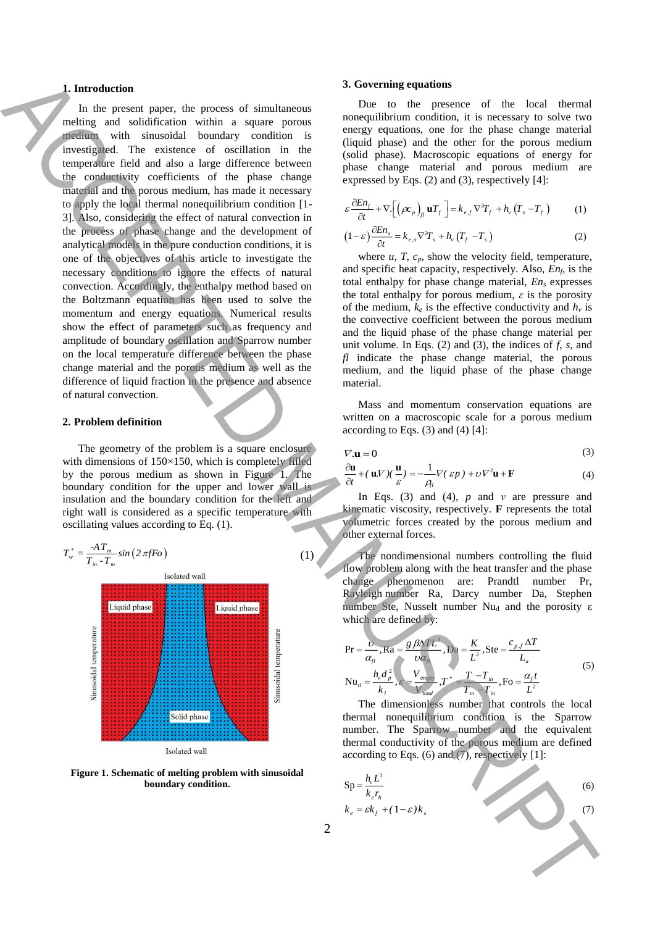### **1. Introduction**

In the present paper, the process of simultaneous melting and solidification within a square porous medium with sinusoidal boundary condition is investigated. The existence of oscillation in the temperature field and also a large difference between the conductivity coefficients of the phase change material and the porous medium, has made it necessary to apply the local thermal nonequilibrium condition [1- 3]. Also, considering the effect of natural convection in the process of phase change and the development of analytical models in the pure conduction conditions, it is one of the objectives of this article to investigate the necessary conditions to ignore the effects of natural convection. Accordingly, the enthalpy method based on the Boltzmann equation has been used to solve the momentum and energy equations. Numerical results show the effect of parameters such as frequency and amplitude of boundary oscillation and Sparrow number on the local temperature difference between the phase change material and the porous medium as well as the difference of liquid fraction in the presence and absence of natural convection. **1** In the place space of a process of a method in equal of the space of die both derivative space of the both derivative space of the both derivative space of the both derivative space of the space of the space of the sp

#### **2. Problem definition**

The geometry of the problem is a square enclosure with dimensions of 150×150, which is completely filled by the porous medium as shown in Figure 1. The boundary condition for the upper and lower wall is insulation and the boundary condition for the left and right wall is considered as a specific temperature with oscillating values according to Eq. (1).



**Figure 1. Schematic of melting problem with sinusoidal boundary condition.**

### **3. Governing equations**

Due to the presence of the local thermal nonequilibrium condition, it is necessary to solve two energy equations, one for the phase change material (liquid phase) and the other for the porous medium (solid phase). Macroscopic equations of energy for phase change material and porous medium are expressed by Eqs. (2) and (3), respectively [4]:

$$
\varepsilon \frac{\partial E n_f}{\partial t} + \nabla \cdot \left[ \left( \rho c_p \right)_{fl} \mathbf{u} T_f \right] = k_{e,f} \nabla^2 T_f + h_v \left( T_s - T_f \right) \tag{1}
$$

$$
(1 - \varepsilon) \frac{\partial E_n}{\partial t} = k_{e,s} \nabla^2 T_s + h_v (T_f - T_s)
$$
 (2)

where  $u$ ,  $T$ ,  $c_p$ , show the velocity field, temperature, and specific heat capacity, respectively. Also, *Enf*, is the total enthalpy for phase change material, *En<sup>s</sup>* expresses the total enthalpy for porous medium, *ε* is the porosity of the medium,  $k_e$  is the effective conductivity and  $h_v$  is the convective coefficient between the porous medium and the liquid phase of the phase change material per unit volume. In Eqs. (2) and (3), the indices of *f*, *s*, and *fl* indicate the phase change material, the porous medium, and the liquid phase of the phase change material.

Mass and momentum conservation equations are written on a macroscopic scale for a porous medium according to Eqs.  $(3)$  and  $(4)$  [4]:

$$
\nabla \mathbf{u} = 0 \tag{3}
$$

$$
\frac{\partial \mathbf{u}}{\partial t} + (\mathbf{u}\nabla)(\frac{\mathbf{u}}{\varepsilon}) = -\frac{1}{\rho_{\text{fl}}} \nabla(\varepsilon p) + \nu \nabla^2 \mathbf{u} + \mathbf{F}
$$
(4)

In Eqs. (3) and (4), *p* and *ν* are pressure and kinematic viscosity, respectively. **F** represents the total volumetric forces created by the porous medium and other external forces.

The nondimensional numbers controlling the fluid flow problem along with the heat transfer and the phase change phenomenon are: Prandtl number Pr, Rayleigh number Ra, Darcy number Da, Stephen number Ste, Nusselt number Nu<sub>d</sub> and the porosity ε which are defined by:

$$
Pr = \frac{U}{\alpha_{fl}}, Ra = \frac{g \beta \Delta T L^3}{\nu \alpha_{fl}}, Da = \frac{K}{L^2}, Ste = \frac{c_{p,f} \Delta T}{L_a}
$$
  
\n
$$
Nu_d = \frac{h_v d_p^2}{k_l}, \varepsilon = \frac{V_{empty}}{V_{total}}, T^* = \frac{T - T_m}{T_m - T_m}, Fo = \frac{\alpha_f t}{L^2}
$$
\n(5)

The dimensionless number that controls the local thermal nonequilibrium condition is the Sparrow number. The Sparrow number and the equivalent thermal conductivity of the porous medium are defined according to Eqs.  $(6)$  and  $(7)$ , respectively  $[1]$ :

$$
Sp = \frac{h_v L^3}{k_e r_h}
$$
  
\n
$$
k_e = \varepsilon k_f + (1 - \varepsilon) k_s
$$
\n(6)

(1)